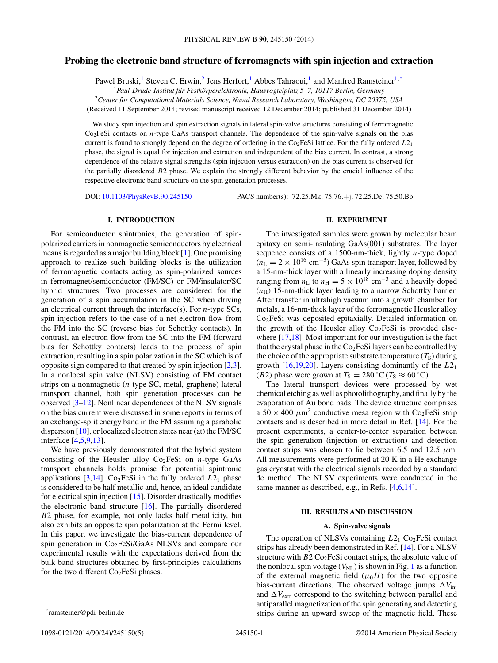# **Probing the electronic band structure of ferromagnets with spin injection and extraction**

Pawel Bruski,<sup>1</sup> Steven C. Erwin,<sup>2</sup> Jens Herfort,<sup>1</sup> Abbes Tahraoui,<sup>1</sup> and Manfred Ramsteiner<sup>1,\*</sup>

<sup>1</sup>*Paul-Drude-Institut fur Festk ¨ orperelektronik, Hausvogteiplatz 5–7, 10117 Berlin, Germany ¨*

<sup>2</sup>*Center for Computational Materials Science, Naval Research Laboratory, Washington, DC 20375, USA*

(Received 11 September 2014; revised manuscript received 12 December 2014; published 31 December 2014)

We study spin injection and spin extraction signals in lateral spin-valve structures consisting of ferromagnetic Co2FeSi contacts on *n*-type GaAs transport channels. The dependence of the spin-valve signals on the bias current is found to strongly depend on the degree of ordering in the  $Co<sub>2</sub>FeSi$  lattice. For the fully ordered  $L2<sub>1</sub>$ phase, the signal is equal for injection and extraction and independent of the bias current. In contrast, a strong dependence of the relative signal strengths (spin injection versus extraction) on the bias current is observed for the partially disordered *B*2 phase. We explain the strongly different behavior by the crucial influence of the respective electronic band structure on the spin generation processes.

DOI: [10.1103/PhysRevB.90.245150](http://dx.doi.org/10.1103/PhysRevB.90.245150) PACS number(s): 72*.*25*.*Mk*,* 75*.*76*.*+j*,* 72*.*25*.*Dc*,* 75*.*50*.*Bb

# **I. INTRODUCTION**

For semiconductor spintronics, the generation of spinpolarized carriers in nonmagnetic semiconductors by electrical means is regarded as a major building block [\[1\]](#page-4-0). One promising approach to realize such building blocks is the utilization of ferromagnetic contacts acting as spin-polarized sources in ferromagnet/semiconductor (FM/SC) or FM/insulator/SC hybrid structures. Two processes are considered for the generation of a spin accumulation in the SC when driving an electrical current through the interface(s). For *n*-type SCs, spin injection refers to the case of a net electron flow from the FM into the SC (reverse bias for Schottky contacts). In contrast, an electron flow from the SC into the FM (forward bias for Schottky contacts) leads to the process of spin extraction, resulting in a spin polarization in the SC which is of opposite sign compared to that created by spin injection [\[2,3\]](#page-4-0). In a nonlocal spin valve (NLSV) consisting of FM contact strips on a nonmagnetic (*n*-type SC, metal, graphene) lateral transport channel, both spin generation processes can be observed [\[3–12\]](#page-4-0). Nonlinear dependences of the NLSV signals on the bias current were discussed in some reports in terms of an exchange-split energy band in the FM assuming a parabolic dispersion [\[10\]](#page-4-0), or localized electron states near (at) the FM/SC interface [\[4,5,9,13\]](#page-4-0).

We have previously demonstrated that the hybrid system consisting of the Heusler alloy  $Co<sub>2</sub>FeSi$  on *n*-type GaAs transport channels holds promise for potential spintronic applications  $[3,14]$ . Co<sub>2</sub>FeSi in the fully ordered  $L2<sub>1</sub>$  phase is considered to be half metallic and, hence, an ideal candidate for electrical spin injection [\[15\]](#page-4-0). Disorder drastically modifies the electronic band structure [\[16\]](#page-4-0). The partially disordered *B*2 phase, for example, not only lacks half metallicity, but also exhibits an opposite spin polarization at the Fermi level. In this paper, we investigate the bias-current dependence of spin generation in  $Co<sub>2</sub>FeSi/GaAs NLSVs$  and compare our experimental results with the expectations derived from the bulk band structures obtained by first-principles calculations for the two different  $Co<sub>2</sub>FeSi$  phases.

#### **II. EXPERIMENT**

The investigated samples were grown by molecular beam epitaxy on semi-insulating GaAs(001) substrates. The layer sequence consists of a 1500-nm-thick, lightly *n*-type doped  $(n_L = 2 \times 10^{16} \text{ cm}^{-3})$  GaAs spin transport layer, followed by a 15-nm-thick layer with a linearly increasing doping density ranging from  $n_L$  to  $n_H = 5 \times 10^{18}$  cm<sup>-3</sup> and a heavily doped  $(n<sub>H</sub>)$  15-nm-thick layer leading to a narrow Schottky barrier. After transfer in ultrahigh vacuum into a growth chamber for metals, a 16-nm-thick layer of the ferromagnetic Heusler alloy Co<sub>2</sub>FeSi was deposited epitaxially. Detailed information on the growth of the Heusler alloy  $Co<sub>2</sub>FeSi$  is provided else-where [\[17,18\]](#page-4-0). Most important for our investigation is the fact that the crystal phase in the  $Co<sub>2</sub>FeSi$  layers can be controlled by the choice of the appropriate substrate temperature  $(T<sub>S</sub>)$  during growth [\[16,19,20\]](#page-4-0). Layers consisting dominantly of the *L*21 (*B*2) phase were grown at  $T_s = 280 \degree \text{C}$  ( $T_s \approx 60 \degree \text{C}$ ).

The lateral transport devices were processed by wet chemical etching as well as photolithography, and finally by the evaporation of Au bond pads. The device structure comprises a  $50 \times 400 \ \mu m^2$  conductive mesa region with Co<sub>2</sub>FeSi strip contacts and is described in more detail in Ref. [\[14\]](#page-4-0). For the present experiments, a center-to-center separation between the spin generation (injection or extraction) and detection contact strips was chosen to lie between 6.5 and 12.5  $\mu$ m. All measurements were performed at 20 K in a He exchange gas cryostat with the electrical signals recorded by a standard dc method. The NLSV experiments were conducted in the same manner as described, e.g., in Refs. [\[4,6,14\]](#page-4-0).

#### **III. RESULTS AND DISCUSSION**

### **A. Spin-valve signals**

The operation of NLSVs containing  $L2_1$  Co<sub>2</sub>FeSi contact strips has already been demonstrated in Ref. [\[14\]](#page-4-0). For a NLSV structure with  $B2 \text{Co}_2$ FeSi contact strips, the absolute value of the nonlocal spin voltage  $(V_{\text{NL}})$  is shown in Fig. [1](#page-1-0) as a function of the external magnetic field  $(\mu_0 H)$  for the two opposite bias-current directions. The observed voltage jumps  $\Delta V_{\text{inj}}$ and  $\Delta V_{\text{extr}}$  correspond to the switching between parallel and antiparallel magnetization of the spin generating and detecting strips during an upward sweep of the magnetic field. These

<sup>\*</sup>ramsteiner@pdi-berlin.de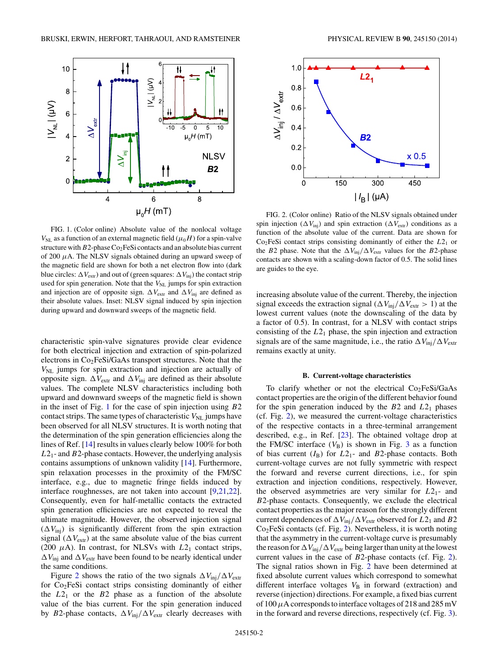<span id="page-1-0"></span>

FIG. 1. (Color online) Absolute value of the nonlocal voltage  $V_{\text{NL}}$  as a function of an external magnetic field ( $\mu_0$ *H*) for a spin-valve structure with *B*2-phase Co<sub>2</sub>FeSi contacts and an absolute bias current of 200 *μ*A. The NLSV signals obtained during an upward sweep of the magnetic field are shown for both a net electron flow into (dark blue circles:  $\Delta V_{\text{extr}}$ ) and out of (green squares:  $\Delta V_{\text{inj}}$ ) the contact strip used for spin generation. Note that the  $V_{NL}$  jumps for spin extraction and injection are of opposite sign.  $\Delta V_{\text{extr}}$  and  $\Delta V_{\text{inj}}$  are defined as their absolute values. Inset: NLSV signal induced by spin injection during upward and downward sweeps of the magnetic field.

characteristic spin-valve signatures provide clear evidence for both electrical injection and extraction of spin-polarized electrons in Co2FeSi/GaAs transport structures. Note that the  $V_{\text{NL}}$  jumps for spin extraction and injection are actually of opposite sign.  $\Delta V_{\text{extr}}$  and  $\Delta V_{\text{inj}}$  are defined as their absolute values. The complete NLSV characteristics including both upward and downward sweeps of the magnetic field is shown in the inset of Fig. 1 for the case of spin injection using *B*2 contact strips. The same types of characteristic  $V_{\text{NL}}$  jumps have been observed for all NLSV structures. It is worth noting that the determination of the spin generation efficiencies along the lines of Ref. [\[14\]](#page-4-0) results in values clearly below 100% for both *L*21- and *B*2-phase contacts. However, the underlying analysis contains assumptions of unknown validity [\[14\]](#page-4-0). Furthermore, spin relaxation processes in the proximity of the FM/SC interface, e.g., due to magnetic fringe fields induced by interface roughnesses, are not taken into account [\[9,21,22\]](#page-4-0). Consequently, even for half-metallic contacts the extracted spin generation efficiencies are not expected to reveal the ultimate magnitude. However, the observed injection signal  $(\Delta V_{\text{inj}})$  is significantly different from the spin extraction signal ( $\Delta V_{\text{extr}}$ ) at the same absolute value of the bias current (200  $\mu$ A). In contrast, for NLSVs with  $L2_1$  contact strips,  $\Delta V_{\text{inj}}$  and  $\Delta V_{\text{extr}}$  have been found to be nearly identical under the same conditions.

Figure 2 shows the ratio of the two signals  $\Delta V_{\text{inj}}/\Delta V_{\text{extr}}$ for  $Co<sub>2</sub>FeSi$  contact strips consisting dominantly of either the  $L2_1$  or the  $B2$  phase as a function of the absolute value of the bias current. For the spin generation induced by *B*2-phase contacts,  $\Delta V_{\text{inj}} / \Delta V_{\text{extr}}$  clearly decreases with



FIG. 2. (Color online) Ratio of the NLSV signals obtained under spin injection ( $\Delta V_{\text{inj}}$ ) and spin extraction ( $\Delta V_{\text{extr}}$ ) conditions as a function of the absolute value of the current. Data are shown for Co2FeSi contact strips consisting dominantly of either the *L*21 or the *B*2 phase. Note that the  $\Delta V_{\text{inj}}/\Delta V_{\text{extr}}$  values for the *B*2-phase contacts are shown with a scaling-down factor of 0.5. The solid lines are guides to the eye.

increasing absolute value of the current. Thereby, the injection signal exceeds the extraction signal ( $\Delta V_{\text{inj}}/\Delta V_{\text{extr}} > 1$ ) at the lowest current values (note the downscaling of the data by a factor of 0.5). In contrast, for a NLSV with contact strips consisting of the *L*21 phase, the spin injection and extraction signals are of the same magnitude, i.e., the ratio  $\Delta V_{\text{inj}} / \Delta V_{\text{extr}}$ remains exactly at unity.

# **B. Current-voltage characteristics**

To clarify whether or not the electrical  $Co<sub>2</sub>FeSi/GaAs$ contact properties are the origin of the different behavior found for the spin generation induced by the *B*2 and *L*21 phases (cf. Fig. 2), we measured the current-voltage characteristics of the respective contacts in a three-terminal arrangement described, e.g., in Ref. [\[23\]](#page-4-0). The obtained voltage drop at the FM/SC interface  $(V_B)$  is shown in Fig. [3](#page-2-0) as a function of bias current  $(I_B)$  for  $L2_1$ - and  $B2$ -phase contacts. Both current-voltage curves are not fully symmetric with respect the forward and reverse current directions, i.e., for spin extraction and injection conditions, respectively. However, the observed asymmetries are very similar for *L*21- and *B*2-phase contacts. Consequently, we exclude the electrical contact properties as the major reason for the strongly different current dependences of  $\Delta V_{\text{inj}}/\Delta V_{\text{extr}}$  observed for  $L2_1$  and  $B2$ Co2FeSi contacts (cf. Fig. 2). Nevertheless, it is worth noting that the asymmetry in the current-voltage curve is presumably the reason for  $\Delta V_{\text{inj}}/\Delta V_{\text{extr}}$  being larger than unity at the lowest current values in the case of *B*2-phase contacts (cf. Fig. 2). The signal ratios shown in Fig. 2 have been determined at fixed absolute current values which correspond to somewhat different interface voltages  $V_B$  in forward (extraction) and reverse (injection) directions. For example, a fixed bias current of 100*μ*A corresponds to interface voltages of 218 and 285 mV in the forward and reverse directions, respectively (cf. Fig. [3\)](#page-2-0).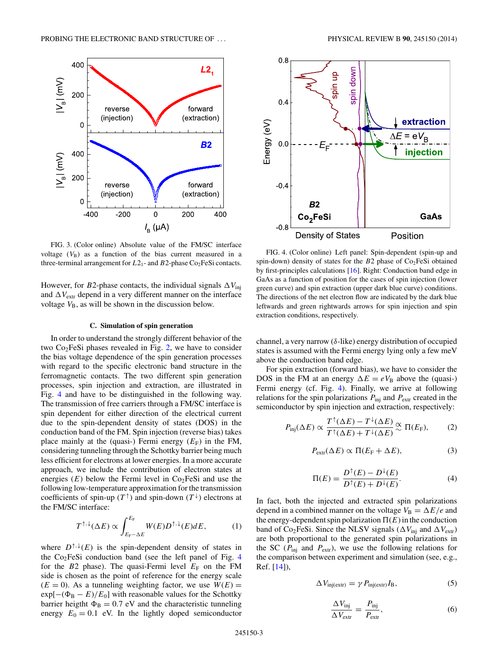<span id="page-2-0"></span>

FIG. 3. (Color online) Absolute value of the FM/SC interface voltage  $(V_B)$  as a function of the bias current measured in a three-terminal arrangement for  $L2_1$ - and  $B2$ -phase Co<sub>2</sub>FeSi contacts.

However, for *B*2-phase contacts, the individual signals  $\Delta V_{\text{inj}}$ and  $\Delta V_{\text{extr}}$  depend in a very different manner on the interface voltage  $V_{\text{B}}$ , as will be shown in the discussion below.

#### **C. Simulation of spin generation**

In order to understand the strongly different behavior of the two  $Co<sub>2</sub>FeSi$  phases revealed in Fig. [2,](#page-1-0) we have to consider the bias voltage dependence of the spin generation processes with regard to the specific electronic band structure in the ferromagnetic contacts. The two different spin generation processes, spin injection and extraction, are illustrated in Fig. 4 and have to be distinguished in the following way. The transmission of free carriers through a FM/SC interface is spin dependent for either direction of the electrical current due to the spin-dependent density of states (DOS) in the conduction band of the FM. Spin injection (reverse bias) takes place mainly at the (quasi-) Fermi energy  $(E_F)$  in the FM, considering tunneling through the Schottky barrier being much less efficient for electrons at lower energies. In a more accurate approach, we include the contribution of electron states at energies  $(E)$  below the Fermi level in  $Co<sub>2</sub>FeSi$  and use the following low-temperature approximation for the transmission coefficients of spin-up  $(T^{\uparrow})$  and spin-down  $(T^{\downarrow})$  electrons at the FM/SC interface:

$$
T^{\uparrow,\downarrow}(\Delta E) \propto \int_{E_{\rm F}-\Delta E}^{E_{\rm F}} W(E) D^{\uparrow,\downarrow}(E) dE, \tag{1}
$$

where  $D^{\uparrow,\downarrow}(E)$  is the spin-dependent density of states in the Co2FeSi conduction band (see the left panel of Fig. 4 for the  $B2$  phase). The quasi-Fermi level  $E_F$  on the FM side is chosen as the point of reference for the energy scale  $(E = 0)$ . As a tunneling weighting factor, we use  $W(E) =$  $\exp[-(\Phi_B - E)/E_0]$  with reasonable values for the Schottky barrier heigtht  $\Phi_B = 0.7$  eV and the characteristic tunneling energy  $E_0 = 0.1$  eV. In the lightly doped semiconductor



FIG. 4. (Color online) Left panel: Spin-dependent (spin-up and spin-down) density of states for the *B*2 phase of Co<sub>2</sub>FeSi obtained by first-principles calculations [\[16\]](#page-4-0). Right: Conduction band edge in GaAs as a function of position for the cases of spin injection (lower green curve) and spin extraction (upper dark blue curve) conditions. The directions of the net electron flow are indicated by the dark blue leftwards and green rightwards arrows for spin injection and spin extraction conditions, respectively.

channel, a very narrow (*δ*-like) energy distribution of occupied states is assumed with the Fermi energy lying only a few meV above the conduction band edge.

For spin extraction (forward bias), we have to consider the DOS in the FM at an energy  $\Delta E = eV_B$  above the (quasi-) Fermi energy (cf. Fig. 4). Finally, we arrive at following relations for the spin polarizations  $P_{\text{inj}}$  and  $P_{\text{extr}}$  created in the semiconductor by spin injection and extraction, respectively:

$$
P_{\text{inj}}(\Delta E) \propto \frac{T^{\uparrow}(\Delta E) - T^{\downarrow}(\Delta E)}{T^{\uparrow}(\Delta E) + T^{\downarrow}(\Delta E)} \approx \Pi(E_{\text{F}}),\tag{2}
$$

$$
P_{\text{extr}}(\Delta E) \propto \Pi (E_{\text{F}} + \Delta E), \tag{3}
$$

$$
\Pi(E) = \frac{D^{\dagger}(E) - D^{\dagger}(E)}{D^{\dagger}(E) + D^{\dagger}(E)}.
$$
 (4)

In fact, both the injected and extracted spin polarizations depend in a combined manner on the voltage  $V_B = \Delta E/e$  and the energy-dependent spin polarization  $\Pi(E)$  in the conduction band of Co<sub>2</sub>FeSi. Since the NLSV signals ( $\Delta V_{\text{inj}}$  and  $\Delta V_{\text{extr}}$ ) are both proportional to the generated spin polarizations in the SC ( $P_{\text{inj}}$  and  $P_{\text{extr}}$ ), we use the following relations for the comparison between experiment and simulation (see, e.g., Ref. [\[14\]](#page-4-0)),

$$
\Delta V_{\text{inj}(\text{extr})} = \gamma P_{\text{inj}(\text{extr})} I_{\text{B}},\tag{5}
$$

$$
\frac{\Delta V_{\text{inj}}}{\Delta V_{\text{extr}}} = \frac{P_{\text{inj}}}{P_{\text{extr}}},\tag{6}
$$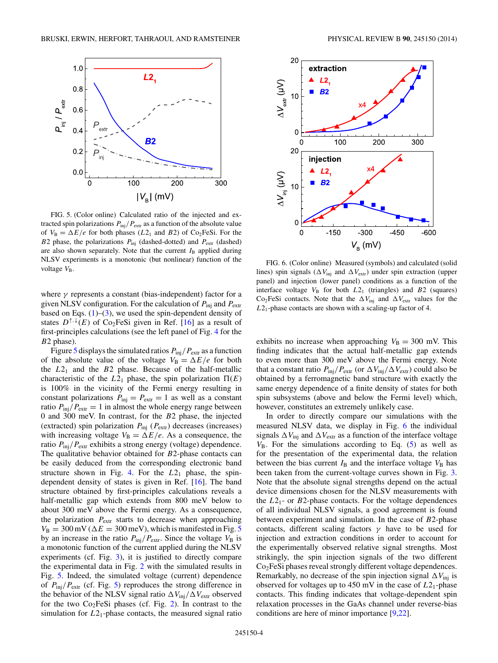

FIG. 5. (Color online) Calculated ratio of the injected and extracted spin polarizations  $P_{\text{inj}}/P_{\text{extr}}$  as a function of the absolute value of  $V_B = \Delta E/e$  for both phases ( $L2_1$  and  $B2$ ) of Co<sub>2</sub>FeSi. For the *B*2 phase, the polarizations  $P_{\text{inj}}$  (dashed-dotted) and  $P_{\text{extr}}$  (dashed) are also shown separately. Note that the current  $I_B$  applied during NLSV experiments is a monotonic (but nonlinear) function of the voltage  $V_{\text{B}}$ .

where *γ* represents a constant (bias-independent) factor for a given NLSV configuration. For the calculation of *P*inj and *P*extr based on Eqs.  $(1)$ – $(3)$ , we used the spin-dependent density of states  $D^{\uparrow,\downarrow}(E)$  of Co<sub>2</sub>FeSi given in Ref. [\[16\]](#page-4-0) as a result of first-principles calculations (see the left panel of Fig. [4](#page-2-0) for the *B*2 phase).

Figure 5 displays the simulated ratios  $P_{\text{inj}}/P_{\text{extr}}$  as a function of the absolute value of the voltage  $V_B = \Delta E/e$  for both the  $L2_1$  and the  $B2$  phase. Because of the half-metallic characteristic of the  $L2_1$  phase, the spin polarization  $\Pi(E)$ is 100% in the vicinity of the Fermi energy resulting in constant polarizations  $P_{\text{inj}} = P_{\text{extr}} = 1$  as well as a constant ratio  $P_{\text{inj}}/P_{\text{extr}} = 1$  in almost the whole energy range between 0 and 300 meV. In contrast, for the *B*2 phase, the injected (extracted) spin polarization  $P_{\text{inj}}$  ( $P_{\text{extr}}$ ) decreases (increases) with increasing voltage  $V_B = \Delta E/e$ . As a consequence, the ratio  $P_{\text{inj}}/P_{\text{extr}}$  exhibits a strong energy (voltage) dependence. The qualitative behavior obtained for *B*2-phase contacts can be easily deduced from the corresponding electronic band structure shown in Fig. [4.](#page-2-0) For the  $L2_1$  phase, the spindependent density of states is given in Ref. [\[16\]](#page-4-0). The band structure obtained by first-principles calculations reveals a half-metallic gap which extends from 800 meV below to about 300 meV above the Fermi energy. As a consequence, the polarization  $P_{\text{extr}}$  starts to decrease when approaching  $V_{\rm B} = 300 \,\rm mV$  ( $\Delta E = 300 \,\rm mV$ ), which is manifested in Fig. 5 by an increase in the ratio  $P_{\text{ini}}/P_{\text{extr}}$ . Since the voltage  $V_B$  is a monotonic function of the current applied during the NLSV experiments (cf. Fig. [3\)](#page-2-0), it is justified to directly compare the experimental data in Fig. [2](#page-1-0) with the simulated results in Fig. 5. Indeed, the simulated voltage (current) dependence of  $P_{\text{inj}}/P_{\text{extr}}$  (cf. Fig. 5) reproduces the strong difference in the behavior of the NLSV signal ratio  $\Delta V_{\text{inj}}/\Delta V_{\text{extr}}$  observed for the two  $Co<sub>2</sub>FeSi$  phases (cf. Fig. [2\)](#page-1-0). In contrast to the simulation for  $L2_1$ -phase contacts, the measured signal ratio



FIG. 6. (Color online) Measured (symbols) and calculated (solid lines) spin signals ( $\Delta V_{\text{inj}}$  and  $\Delta V_{\text{extr}}$ ) under spin extraction (upper panel) and injection (lower panel) conditions as a function of the interface voltage  $V_B$  for both  $L2_1$  (triangles) and  $B2$  (squares) Co<sub>2</sub>FeSi contacts. Note that the  $\Delta V_{\text{inj}}$  and  $\Delta V_{\text{extr}}$  values for the *L*21-phase contacts are shown with a scaling-up factor of 4.

exhibits no increase when approaching  $V_B = 300$  mV. This finding indicates that the actual half-metallic gap extends to even more than 300 meV above the Fermi energy. Note that a constant ratio  $P_{\text{inj}}/P_{\text{extr}}$  (or  $\Delta V_{\text{inj}}/\Delta V_{\text{extr}}$ ) could also be obtained by a ferromagnetic band structure with exactly the same energy dependence of a finite density of states for both spin subsystems (above and below the Fermi level) which, however, constitutes an extremely unlikely case.

In order to directly compare our simulations with the measured NLSV data, we display in Fig. 6 the individual signals  $\Delta V_{\text{inj}}$  and  $\Delta V_{\text{extr}}$  as a function of the interface voltage  $V_{\rm B}$ . For the simulations according to Eq.  $(5)$  as well as for the presentation of the experimental data, the relation between the bias current  $I_B$  and the interface voltage  $V_B$  has been taken from the current-voltage curves shown in Fig. [3.](#page-2-0) Note that the absolute signal strengths depend on the actual device dimensions chosen for the NLSV measurements with the  $L2_1$ - or  $B2$ -phase contacts. For the voltage dependences of all individual NLSV signals, a good agreement is found between experiment and simulation. In the case of *B*2-phase contacts, different scaling factors *γ* have to be used for injection and extraction conditions in order to account for the experimentally observed relative signal strengths. Most strikingly, the spin injection signals of the two different Co2FeSi phases reveal strongly different voltage dependences. Remarkably, no decrease of the spin injection signal  $\Delta V_{\text{inj}}$  is observed for voltages up to 450 mV in the case of *L*21-phase contacts. This finding indicates that voltage-dependent spin relaxation processes in the GaAs channel under reverse-bias conditions are here of minor importance [\[9,22\]](#page-4-0).